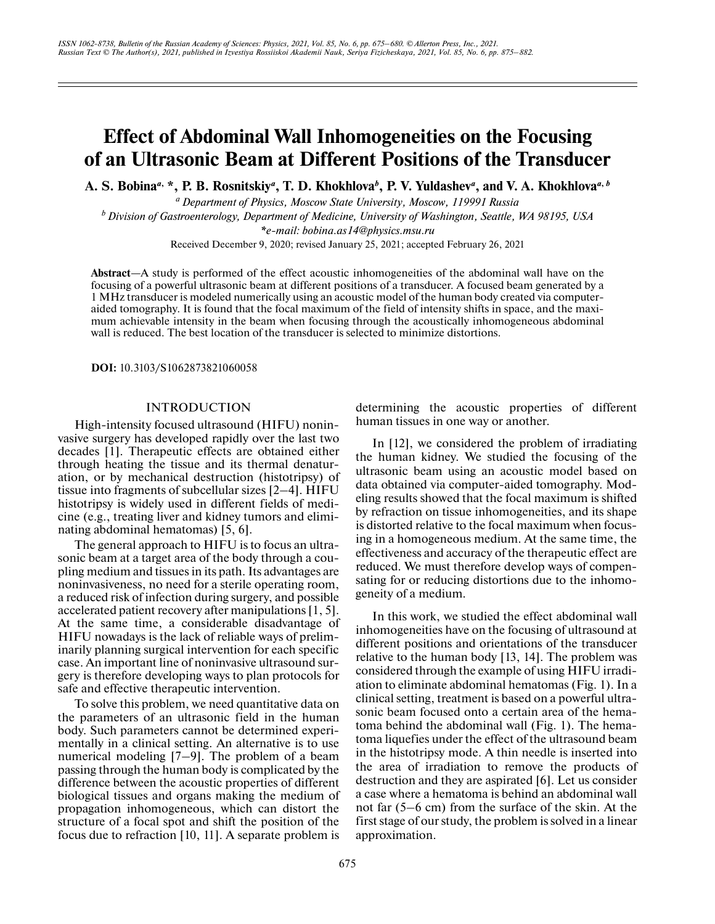# **Effect of Abdominal Wall Inhomogeneities on the Focusing of an Ultrasonic Beam at Different Positions of the Transducer**

**A. S. Bobina***a***, \*, P. B. Rosnitskiy***a***, T. D. Khokhlova***<sup>b</sup>* **, P. V. Yuldashev***<sup>a</sup>* **, and V. A. Khokhlova***a***,***<sup>b</sup>*

*a Department of Physics, Moscow State University, Moscow, 119991 Russia*

*b Division of Gastroenterology, Department of Medicine, University of Washington, Seattle, WA 98195, USA*

*\*e-mail: bobina.as14@physics.msu.ru*

Received December 9, 2020; revised January 25, 2021; accepted February 26, 2021

**Abstract**—A study is performed of the effect acoustic inhomogeneities of the abdominal wall have on the focusing of a powerful ultrasonic beam at different positions of a transducer. A focused beam generated by a 1 MHz transducer is modeled numerically using an acoustic model of the human body created via computeraided tomography. It is found that the focal maximum of the field of intensity shifts in space, and the maximum achievable intensity in the beam when focusing through the acoustically inhomogeneous abdominal wall is reduced. The best location of the transducer is selected to minimize distortions.

**DOI:** 10.3103/S1062873821060058

#### **INTRODUCTION**

High-intensity focused ultrasound (HIFU) noninvasive surgery has developed rapidly over the last two decades [1]. Therapeutic effects are obtained either through heating the tissue and its thermal denaturation, or by mechanical destruction (histotripsy) of tissue into fragments of subcellular sizes [2–4]. HIFU histotripsy is widely used in different fields of medicine (e.g., treating liver and kidney tumors and eliminating abdominal hematomas) [5, 6].

The general approach to HIFU is to focus an ultrasonic beam at a target area of the body through a coupling medium and tissues in its path. Its advantages are noninvasiveness, no need for a sterile operating room, a reduced risk of infection during surgery, and possible accelerated patient recovery after manipulations [1, 5]. At the same time, a considerable disadvantage of HIFU nowadays is the lack of reliable ways of preliminarily planning surgical intervention for each specific case. An important line of noninvasive ultrasound surgery is therefore developing ways to plan protocols for safe and effective therapeutic intervention.

To solve this problem, we need quantitative data on the parameters of an ultrasonic field in the human body. Such parameters cannot be determined experimentally in a clinical setting. An alternative is to use numerical modeling [7–9]. The problem of a beam passing through the human body is complicated by the difference between the acoustic properties of different biological tissues and organs making the medium of propagation inhomogeneous, which can distort the structure of a focal spot and shift the position of the focus due to refraction [10, 11]. A separate problem is

determining the acoustic properties of different human tissues in one way or another.

In [12], we considered the problem of irradiating the human kidney. We studied the focusing of the ultrasonic beam using an acoustic model based on data obtained via computer-aided tomography. Modeling results showed that the focal maximum is shifted by refraction on tissue inhomogeneities, and its shape is distorted relative to the focal maximum when focusing in a homogeneous medium. At the same time, the effectiveness and accuracy of the therapeutic effect are reduced. We must therefore develop ways of compensating for or reducing distortions due to the inhomogeneity of a medium.

In this work, we studied the effect abdominal wall inhomogeneities have on the focusing of ultrasound at different positions and orientations of the transducer relative to the human body [13, 14]. The problem was considered through the example of using HIFU irradiation to eliminate abdominal hematomas (Fig. 1). In a clinical setting, treatment is based on a powerful ultrasonic beam focused onto a certain area of the hematoma behind the abdominal wall (Fig. 1). The hematoma liquefies under the effect of the ultrasound beam in the histotripsy mode. A thin needle is inserted into the area of irradiation to remove the products of destruction and they are aspirated [6]. Let us consider a case where a hematoma is behind an abdominal wall not far (5–6 cm) from the surface of the skin. At the first stage of our study, the problem is solved in a linear approximation.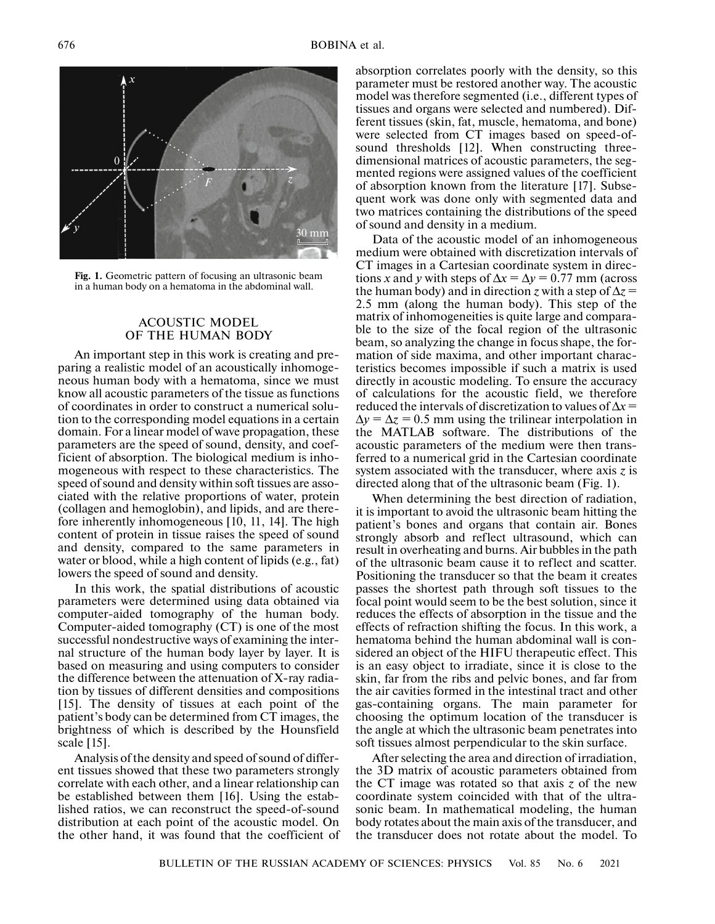

**Fig. 1.** Geometric pattern of focusing an ultrasonic beam in a human body on a hematoma in the abdominal wall.

## ACOUSTIC MODEL OF THE HUMAN BODY

An important step in this work is creating and preparing a realistic model of an acoustically inhomogeneous human body with a hematoma, since we must know all acoustic parameters of the tissue as functions of coordinates in order to construct a numerical solution to the corresponding model equations in a certain domain. For a linear model of wave propagation, these parameters are the speed of sound, density, and coefficient of absorption. The biological medium is inhomogeneous with respect to these characteristics. The speed of sound and density within soft tissues are associated with the relative proportions of water, protein (collagen and hemoglobin), and lipids, and are therefore inherently inhomogeneous [10, 11, 14]. The high content of protein in tissue raises the speed of sound and density, compared to the same parameters in water or blood, while a high content of lipids (e.g., fat) lowers the speed of sound and density.

In this work, the spatial distributions of acoustic parameters were determined using data obtained via computer-aided tomography of the human body. Computer-aided tomography (CT) is one of the most successful nondestructive ways of examining the internal structure of the human body layer by layer. It is based on measuring and using computers to consider the difference between the attenuation of X-ray radiation by tissues of different densities and compositions [15]. The density of tissues at each point of the patient's body can be determined from CT images, the brightness of which is described by the Hounsfield scale [15].

Analysis of the density and speed of sound of different tissues showed that these two parameters strongly correlate with each other, and a linear relationship can be established between them [16]. Using the established ratios, we can reconstruct the speed-of-sound distribution at each point of the acoustic model. On the other hand, it was found that the coefficient of

absorption correlates poorly with the density, so this parameter must be restored another way. The acoustic model was therefore segmented (i.e., different types of tissues and organs were selected and numbered). Different tissues (skin, fat, muscle, hematoma, and bone) were selected from CT images based on speed-ofsound thresholds [12]. When constructing threedimensional matrices of acoustic parameters, the segmented regions were assigned values of the coefficient of absorption known from the literature [17]. Subsequent work was done only with segmented data and two matrices containing the distributions of the speed of sound and density in a medium.

Data of the acoustic model of an inhomogeneous medium were obtained with discretization intervals of CT images in a Cartesian coordinate system in directions *x* and *y* with steps of  $\Delta x = \Delta y = 0.77$  mm (across the human body) and in direction *z* with a step of  $\Delta z$  = 2.5 mm (along the human body). This step of the matrix of inhomogeneities is quite large and comparable to the size of the focal region of the ultrasonic beam, so analyzing the change in focus shape, the formation of side maxima, and other important characteristics becomes impossible if such a matrix is used directly in acoustic modeling. To ensure the accuracy of calculations for the acoustic field, we therefore reduced the intervals of discretization to values of Δ*x* =  $\Delta y = \Delta z = 0.5$  mm using the trilinear interpolation in the MATLAB software. The distributions of the acoustic parameters of the medium were then transferred to a numerical grid in the Cartesian coordinate system associated with the transducer, where axis *z* is directed along that of the ultrasonic beam (Fig. 1).

When determining the best direction of radiation, it is important to avoid the ultrasonic beam hitting the patient's bones and organs that contain air. Bones strongly absorb and reflect ultrasound, which can result in overheating and burns. Air bubbles in the path of the ultrasonic beam cause it to reflect and scatter. Positioning the transducer so that the beam it creates passes the shortest path through soft tissues to the focal point would seem to be the best solution, since it reduces the effects of absorption in the tissue and the effects of refraction shifting the focus. In this work, a hematoma behind the human abdominal wall is considered an object of the HIFU therapeutic effect. This is an easy object to irradiate, since it is close to the skin, far from the ribs and pelvic bones, and far from the air cavities formed in the intestinal tract and other gas-containing organs. The main parameter for choosing the optimum location of the transducer is the angle at which the ultrasonic beam penetrates into soft tissues almost perpendicular to the skin surface.

After selecting the area and direction of irradiation, the 3D matrix of acoustic parameters obtained from the CT image was rotated so that axis *z* of the new coordinate system coincided with that of the ultrasonic beam. In mathematical modeling, the human body rotates about the main axis of the transducer, and the transducer does not rotate about the model. To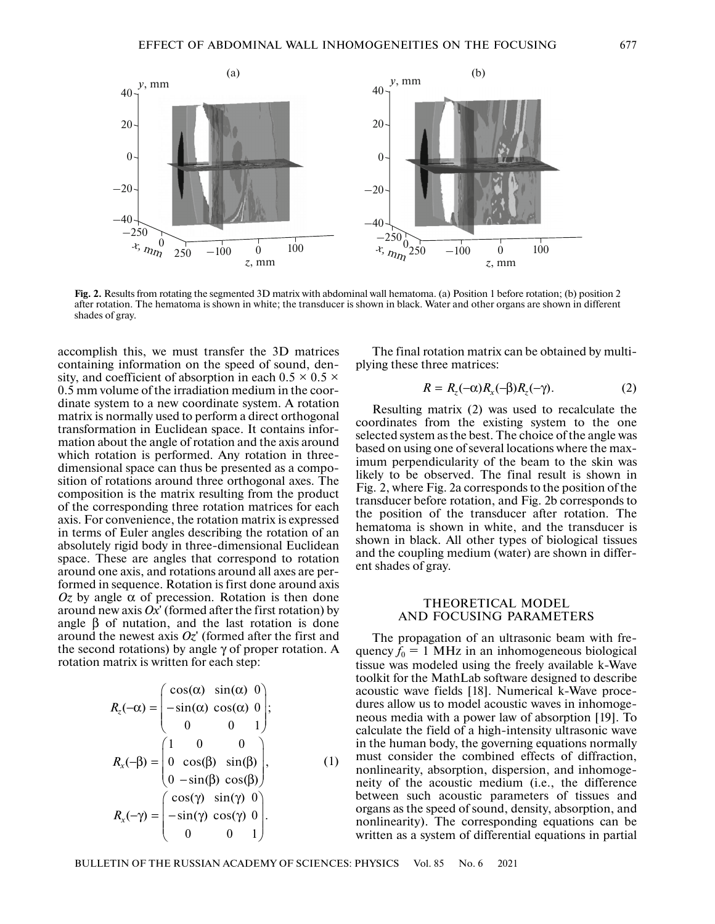

**Fig. 2.** Results from rotating the segmented 3D matrix with abdominal wall hematoma. (a) Position 1 before rotation; (b) position 2 after rotation. The hematoma is shown in white; the transducer is shown in black. Water and other organs are shown in different shades of gray.

accomplish this, we must transfer the 3D matrices containing information on the speed of sound, density, and coefficient of absorption in each  $0.5 \times 0.5 \times$ 0.5 mm volume of the irradiation medium in the coordinate system to a new coordinate system. A rotation matrix is normally used to perform a direct orthogonal transformation in Euclidean space. It contains information about the angle of rotation and the axis around which rotation is performed. Any rotation in threedimensional space can thus be presented as a composition of rotations around three orthogonal axes. The composition is the matrix resulting from the product of the corresponding three rotation matrices for each axis. For convenience, the rotation matrix is expressed in terms of Euler angles describing the rotation of an absolutely rigid body in three-dimensional Euclidean space. These are angles that correspond to rotation around one axis, and rotations around all axes are performed in sequence. Rotation is first done around axis *Oz* by angle α of precession. Rotation is then done around new axis  $Ox'$  (formed after the first rotation) by angle  $β$  of nutation, and the last rotation is done around the newest axis *Oz*' (formed after the first and the second rotations) by angle  $\gamma$  of proper rotation. A rotation matrix is written for each step:

40

$$
R_z(-\alpha) = \begin{pmatrix} \cos(\alpha) & \sin(\alpha) & 0 \\ -\sin(\alpha) & \cos(\alpha) & 0 \\ 0 & 0 & 1 \end{pmatrix};
$$
  
\n
$$
R_x(-\beta) = \begin{pmatrix} 1 & 0 & 0 \\ 0 & \cos(\beta) & \sin(\beta) \\ 0 & -\sin(\beta) & \cos(\beta) \end{pmatrix}, \qquad (1)
$$
  
\n
$$
R_x(-\gamma) = \begin{pmatrix} \cos(\gamma) & \sin(\gamma) & 0 \\ -\sin(\gamma) & \cos(\gamma) & 0 \\ 0 & 0 & 1 \end{pmatrix}.
$$

The final rotation matrix can be obtained by multiplying these three matrices:

$$
R = R_z(-\alpha)R_x(-\beta)R_z(-\gamma). \tag{2}
$$

Resulting matrix (2) was used to recalculate the coordinates from the existing system to the one selected system as the best. The choice of the angle was based on using one of several locations where the maximum perpendicularity of the beam to the skin was likely to be observed. The final result is shown in Fig. 2, where Fig. 2a corresponds to the position of the transducer before rotation, and Fig. 2b corresponds to the position of the transducer after rotation. The hematoma is shown in white, and the transducer is shown in black. All other types of biological tissues and the coupling medium (water) are shown in different shades of gray.

### THEORETICAL MODEL AND FOCUSING PARAMETERS

The propagation of an ultrasonic beam with frequency  $f_0 = 1$  MHz in an inhomogeneous biological tissue was modeled using the freely available k-Wave toolkit for the MathLab software designed to describe acoustic wave fields [18]. Numerical k-Wave procedures allow us to model acoustic waves in inhomogeneous media with a power law of absorption [19]. To calculate the field of a high-intensity ultrasonic wave in the human body, the governing equations normally must consider the combined effects of diffraction, nonlinearity, absorption, dispersion, and inhomogeneity of the acoustic medium (i.e., the difference between such acoustic parameters of tissues and organs as the speed of sound, density, absorption, and nonlinearity). The corresponding equations can be written as a system of differential equations in partial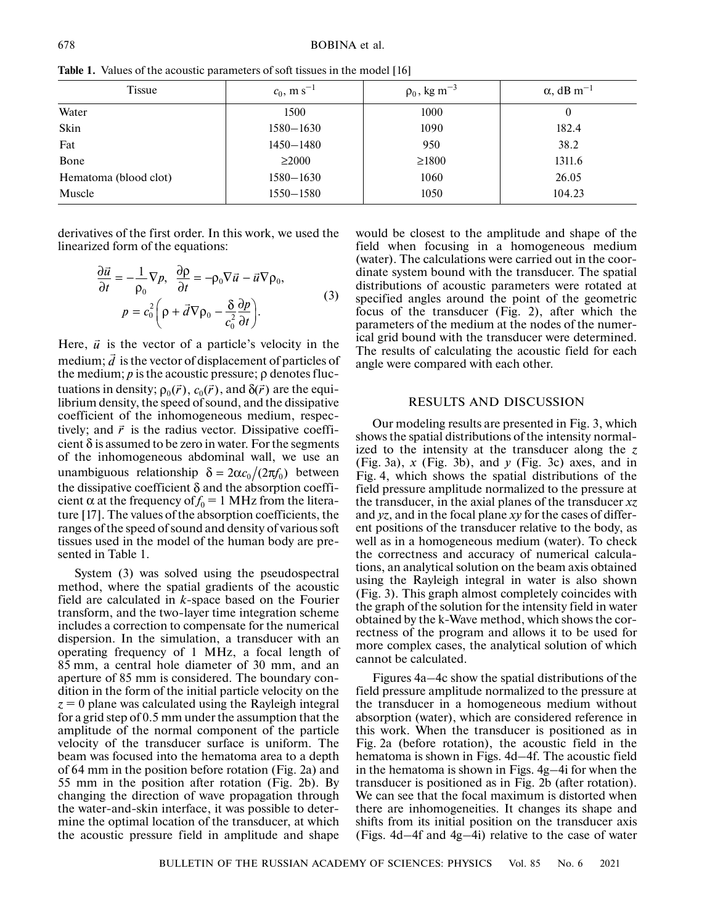| <b>Tissue</b>         | $c_0$ , m s <sup>-1</sup> | $\rho_0$ , kg m <sup>-3</sup> | $\alpha$ , dB m <sup>-1</sup> |
|-----------------------|---------------------------|-------------------------------|-------------------------------|
| Water                 | 1500                      | 1000                          | $\bf{0}$                      |
| Skin                  | $1580 - 1630$             | 1090                          | 182.4                         |
| Fat                   | $1450 - 1480$             | 950                           | 38.2                          |
| Bone                  | $\geq$ 2000               | $\geq$ 1800                   | 1311.6                        |
| Hematoma (blood clot) | $1580 - 1630$             | 1060                          | 26.05                         |
| Muscle                | $1550 - 1580$             | 1050                          | 104.23                        |

**Table 1.** Values of the acoustic parameters of soft tissues in the model [16]

derivatives of the first order. In this work, we used the linearized form of the equations:

$$
\frac{\partial \vec{u}}{\partial t} = -\frac{1}{\rho_0} \nabla p, \quad \frac{\partial \rho}{\partial t} = -\rho_0 \nabla \vec{u} - \vec{u} \nabla \rho_0, \np = c_0^2 \left( \rho + \vec{d} \nabla \rho_0 - \frac{\delta}{c_0^2} \frac{\partial p}{\partial t} \right).
$$
\n(3)

Here,  $\vec{u}$  is the vector of a particle's velocity in the medium:  $\vec{d}$  is the vector of displacement of particles of medium;  $\vec{d}$  is the vector of displacement of particles of the medium; *p* is the acoustic pressure; ρ denotes fluctuations in density;  $\rho_0(\vec{r})$ ,  $c_0(\vec{r})$ , and  $\delta(\vec{r})$  are the equilibrium density, the speed of sound, and the dissipative coefficient of the inhomogeneous medium, respectively; and  $\vec{r}$  is the radius vector. Dissipative coefficient  $\delta$  is assumed to be zero in water. For the segments of the inhomogeneous abdominal wall, we use an unambiguous relationship  $\delta = 2\alpha c_0/(2\pi f_0)$  between the dissipative coefficient  $\delta$  and the absorption coefficient  $\alpha$  at the frequency of  $f_0 = 1$  MHz from the literature [17]. The values of the absorption coefficients, the ranges of the speed of sound and density of various soft tissues used in the model of the human body are presented in Table 1.

System (3) was solved using the pseudospectral method, where the spatial gradients of the acoustic field are calculated in *k*-space based on the Fourier transform, and the two-layer time integration scheme includes a correction to compensate for the numerical dispersion. In the simulation, a transducer with an operating frequency of 1 MHz, a focal length of 85 mm, a central hole diameter of 30 mm, and an aperture of 85 mm is considered. The boundary condition in the form of the initial particle velocity on the *z* = 0 plane was calculated using the Rayleigh integral for a grid step of 0.5 mm under the assumption that the amplitude of the normal component of the particle velocity of the transducer surface is uniform. The beam was focused into the hematoma area to a depth of 64 mm in the position before rotation (Fig. 2a) and 55 mm in the position after rotation (Fig. 2b). By changing the direction of wave propagation through the water-and-skin interface, it was possible to determine the optimal location of the transducer, at which the acoustic pressure field in amplitude and shape would be closest to the amplitude and shape of the field when focusing in a homogeneous medium (water). The calculations were carried out in the coordinate system bound with the transducer. The spatial distributions of acoustic parameters were rotated at specified angles around the point of the geometric focus of the transducer (Fig. 2), after which the parameters of the medium at the nodes of the numerical grid bound with the transducer were determined. The results of calculating the acoustic field for each angle were compared with each other.

## RESULTS AND DISCUSSION

Our modeling results are presented in Fig. 3, which shows the spatial distributions of the intensity normalized to the intensity at the transducer along the *z* (Fig. 3a), *x* (Fig. 3b), and *y* (Fig. 3c) axes, and in Fig. 4, which shows the spatial distributions of the field pressure amplitude normalized to the pressure at the transducer, in the axial planes of the transducer *xz* and *yz*, and in the focal plane *xy* for the cases of different positions of the transducer relative to the body, as well as in a homogeneous medium (water). To check the correctness and accuracy of numerical calculations, an analytical solution on the beam axis obtained using the Rayleigh integral in water is also shown (Fig. 3). This graph almost completely coincides with the graph of the solution for the intensity field in water obtained by the k-Wave method, which shows the correctness of the program and allows it to be used for more complex cases, the analytical solution of which cannot be calculated.

Figures 4a–4c show the spatial distributions of the field pressure amplitude normalized to the pressure at the transducer in a homogeneous medium without absorption (water), which are considered reference in this work. When the transducer is positioned as in Fig. 2a (before rotation), the acoustic field in the hematoma is shown in Figs. 4d–4f. The acoustic field in the hematoma is shown in Figs. 4g–4i for when the transducer is positioned as in Fig. 2b (after rotation). We can see that the focal maximum is distorted when there are inhomogeneities. It changes its shape and shifts from its initial position on the transducer axis (Figs. 4d–4f and 4g–4i) relative to the case of water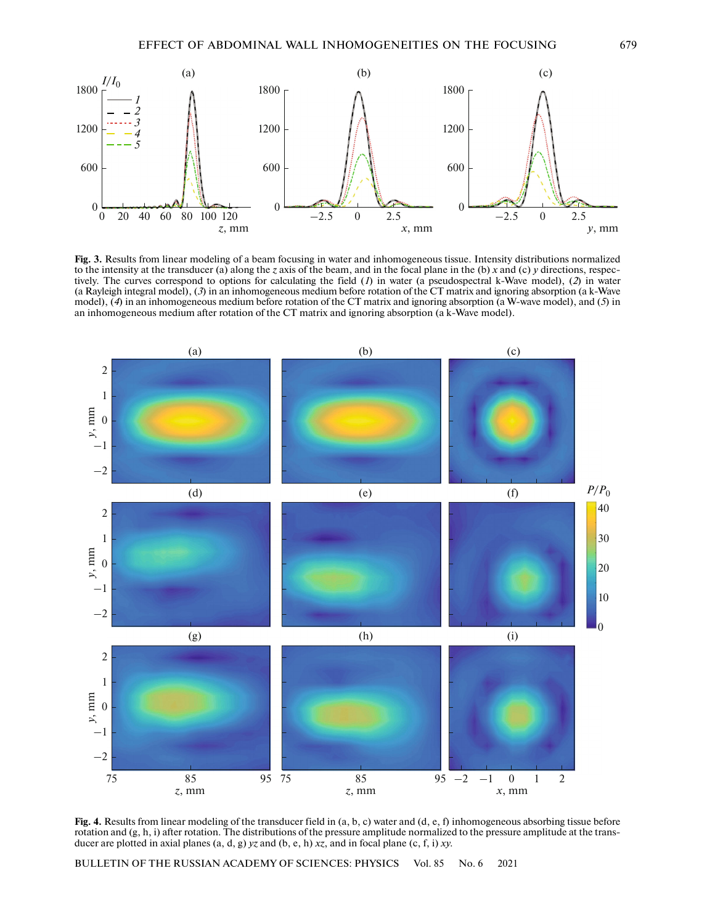

**Fig. 3.** Results from linear modeling of a beam focusing in water and inhomogeneous tissue. Intensity distributions normalized to the intensity at the transducer (a) along the *z* axis of the beam, and in the focal plane in the (b) *x* and (c) *y* directions, respectively. The curves correspond to options for calculating the field (*1*) in water (a pseudospectral k-Wave model), (*2*) in water (a Rayleigh integral model), (*3*) in an inhomogeneous medium before rotation of the CT matrix and ignoring absorption (a k-Wave model), (*4*) in an inhomogeneous medium before rotation of the CT matrix and ignoring absorption (a W-wave model), and (*5*) in an inhomogeneous medium after rotation of the CT matrix and ignoring absorption (a k-Wave model).



**Fig. 4.** Results from linear modeling of the transducer field in (a, b, c) water and (d, e, f) inhomogeneous absorbing tissue before rotation and (g, h, i) after rotation. The distributions of the pressure amplitude normalized to the pressure amplitude at the transducer are plotted in axial planes (a, d, g) *yz* and (b, e, h) *xz*, and in focal plane (c, f, i) *xy*.

BULLETIN OF THE RUSSIAN ACADEMY OF SCIENCES: PHYSICS Vol. 85 No. 6 2021